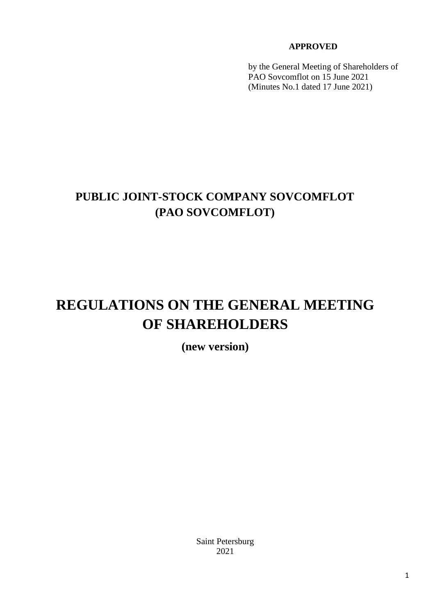# **APPROVED**

by the General Meeting of Shareholders of PAO Sovcomflot on 15 June 2021 (Minutes No.1 dated 17 June 2021)

# **PUBLIC JOINT-STOCK COMPANY SOVCOMFLOT (PAO SOVCOMFLOT)**

# **REGULATIONS ON THE GENERAL MEETING OF SHAREHOLDERS**

**(new version)** 

Saint Petersburg 2021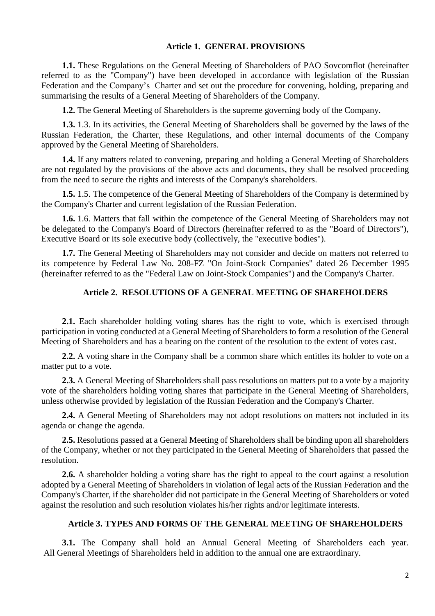# **Article 1. GENERAL PROVISIONS**

**1.1.** These Regulations on the General Meeting of Shareholders of PAO Sovcomflot (hereinafter referred to as the "Company") have been developed in accordance with legislation of the Russian Federation and the Company's Charter and set out the procedure for convening, holding, preparing and summarising the results of a General Meeting of Shareholders of the Company.

**1.2.** The General Meeting of Shareholders is the supreme governing body of the Company.

**1.3.** 1.3. In its activities, the General Meeting of Shareholders shall be governed by the laws of the Russian Federation, the Charter, these Regulations, and other internal documents of the Company approved by the General Meeting of Shareholders.

**1.4.** If any matters related to convening, preparing and holding a General Meeting of Shareholders are not regulated by the provisions of the above acts and documents, they shall be resolved proceeding from the need to secure the rights and interests of the Company's shareholders.

**1.5.** 1.5. The competence of the General Meeting of Shareholders of the Company is determined by the Company's Charter and current legislation of the Russian Federation.

**1.6.** 1.6. Matters that fall within the competence of the General Meeting of Shareholders may not be delegated to the Company's Board of Directors (hereinafter referred to as the "Board of Directors"), Executive Board or its sole executive body (collectively, the "executive bodies").

**1.7.** The General Meeting of Shareholders may not consider and decide on matters not referred to its competence by Federal Law No. 208-FZ "On Joint-Stock Companies" dated 26 December 1995 (hereinafter referred to as the "Federal Law on Joint-Stock Companies") and the Company's Charter.

# **Article 2. RESOLUTIONS OF A GENERAL MEETING OF SHAREHOLDERS**

**2.1.** Each shareholder holding voting shares has the right to vote, which is exercised through participation in voting conducted at a General Meeting of Shareholders to form a resolution of the General Meeting of Shareholders and has a bearing on the content of the resolution to the extent of votes cast.

**2.2.** A voting share in the Company shall be a common share which entitles its holder to vote on a matter put to a vote.

**2.3.** A General Meeting of Shareholders shall pass resolutions on matters put to a vote by a majority vote of the shareholders holding voting shares that participate in the General Meeting of Shareholders, unless otherwise provided by legislation of the Russian Federation and the Company's Charter.

**2.4.** A General Meeting of Shareholders may not adopt resolutions on matters not included in its agenda or change the agenda.

**2.5.** Resolutions passed at a General Meeting of Shareholders shall be binding upon all shareholders of the Company, whether or not they participated in the General Meeting of Shareholders that passed the resolution.

**2.6.** A shareholder holding a voting share has the right to appeal to the court against a resolution adopted by a General Meeting of Shareholders in violation of legal acts of the Russian Federation and the Company's Charter, if the shareholder did not participate in the General Meeting of Shareholders or voted against the resolution and such resolution violates his/her rights and/or legitimate interests.

## **Article 3. TYPES AND FORMS OF THE GENERAL MEETING OF SHAREHOLDERS**

**3.1.** The Company shall hold an Annual General Meeting of Shareholders each year. All General Meetings of Shareholders held in addition to the annual one are extraordinary.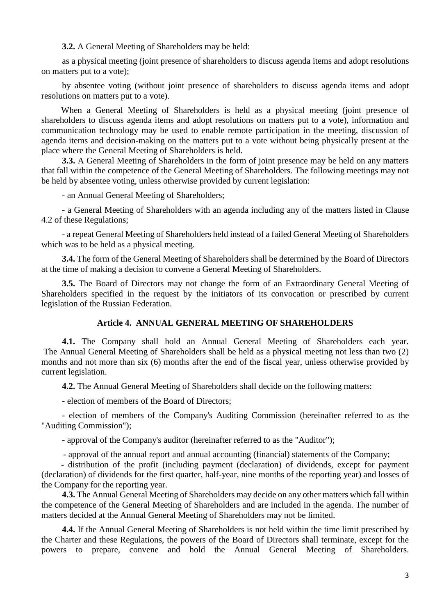**3.2.** A General Meeting of Shareholders may be held:

as a physical meeting (joint presence of shareholders to discuss agenda items and adopt resolutions on matters put to a vote);

by absentee voting (without joint presence of shareholders to discuss agenda items and adopt resolutions on matters put to a vote).

When a General Meeting of Shareholders is held as a physical meeting (joint presence of shareholders to discuss agenda items and adopt resolutions on matters put to a vote), information and communication technology may be used to enable remote participation in the meeting, discussion of agenda items and decision-making on the matters put to a vote without being physically present at the place where the General Meeting of Shareholders is held.

**3.3.** A General Meeting of Shareholders in the form of joint presence may be held on any matters that fall within the competence of the General Meeting of Shareholders. The following meetings may not be held by absentee voting, unless otherwise provided by current legislation:

- an Annual General Meeting of Shareholders;

- a General Meeting of Shareholders with an agenda including any of the matters listed in Clause 4.2 of these Regulations;

- a repeat General Meeting of Shareholders held instead of a failed General Meeting of Shareholders which was to be held as a physical meeting.

**3.4.** The form of the General Meeting of Shareholders shall be determined by the Board of Directors at the time of making a decision to convene a General Meeting of Shareholders.

**3.5.** The Board of Directors may not change the form of an Extraordinary General Meeting of Shareholders specified in the request by the initiators of its convocation or prescribed by current legislation of the Russian Federation.

## **Article 4. ANNUAL GENERAL MEETING OF SHAREHOLDERS**

**4.1.** The Company shall hold an Annual General Meeting of Shareholders each year. The Annual General Meeting of Shareholders shall be held as a physical meeting not less than two (2) months and not more than six (6) months after the end of the fiscal year, unless otherwise provided by current legislation.

**4.2.** The Annual General Meeting of Shareholders shall decide on the following matters:

- election of members of the Board of Directors;

- election of members of the Company's Auditing Commission (hereinafter referred to as the "Auditing Commission");

- approval of the Company's auditor (hereinafter referred to as the "Auditor");

- approval of the annual report and annual accounting (financial) statements of the Company;

- distribution of the profit (including payment (declaration) of dividends, except for payment (declaration) of dividends for the first quarter, half-year, nine months of the reporting year) and losses of the Company for the reporting year.

**4.3.** The Annual General Meeting of Shareholders may decide on any other matters which fall within the competence of the General Meeting of Shareholders and are included in the agenda. The number of matters decided at the Annual General Meeting of Shareholders may not be limited.

**4.4.** If the Annual General Meeting of Shareholders is not held within the time limit prescribed by the Charter and these Regulations, the powers of the Board of Directors shall terminate, except for the powers to prepare, convene and hold the Annual General Meeting of Shareholders.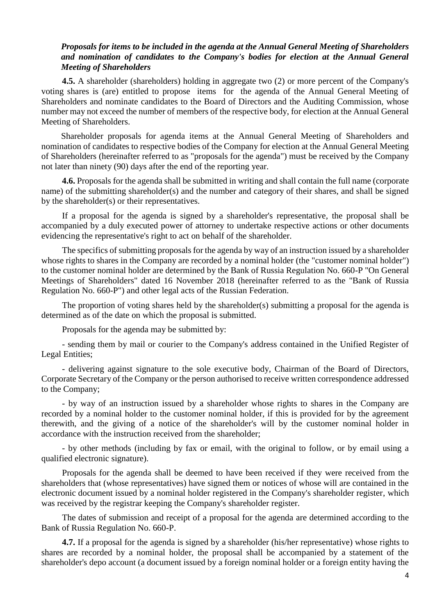# *Proposals for items to be included in the agenda at the Annual General Meeting of Shareholders and nomination of candidates to the Company's bodies for election at the Annual General Meeting of Shareholders*

**4.5.** A shareholder (shareholders) holding in aggregate two (2) or more percent of the Company's voting shares is (are) entitled to propose items for the agenda of the Annual General Meeting of Shareholders and nominate candidates to the Board of Directors and the Auditing Commission, whose number may not exceed the number of members of the respective body, for election at the Annual General Meeting of Shareholders.

Shareholder proposals for agenda items at the Annual General Meeting of Shareholders and nomination of candidates to respective bodies of the Company for election at the Annual General Meeting of Shareholders (hereinafter referred to as "proposals for the agenda") must be received by the Company not later than ninety (90) days after the end of the reporting year.

**4.6.** Proposals for the agenda shall be submitted in writing and shall contain the full name (corporate name) of the submitting shareholder(s) and the number and category of their shares, and shall be signed by the shareholder(s) or their representatives.

If a proposal for the agenda is signed by a shareholder's representative, the proposal shall be accompanied by a duly executed power of attorney to undertake respective actions or other documents evidencing the representative's right to act on behalf of the shareholder.

The specifics of submitting proposals for the agenda by way of an instruction issued by a shareholder whose rights to shares in the Company are recorded by a nominal holder (the "customer nominal holder") to the customer nominal holder are determined by the Bank of Russia Regulation No. 660-P "On General Meetings of Shareholders" dated 16 November 2018 (hereinafter referred to as the "Bank of Russia Regulation No. 660-P") and other legal acts of the Russian Federation.

The proportion of voting shares held by the shareholder(s) submitting a proposal for the agenda is determined as of the date on which the proposal is submitted.

Proposals for the agenda may be submitted by:

- sending them by mail or courier to the Company's address contained in the Unified Register of Legal Entities;

- delivering against signature to the sole executive body, Chairman of the Board of Directors, Corporate Secretary of the Company or the person authorised to receive written correspondence addressed to the Company;

- by way of an instruction issued by a shareholder whose rights to shares in the Company are recorded by a nominal holder to the customer nominal holder, if this is provided for by the agreement therewith, and the giving of a notice of the shareholder's will by the customer nominal holder in accordance with the instruction received from the shareholder;

- by other methods (including by fax or email, with the original to follow, or by email using a qualified electronic signature).

Proposals for the agenda shall be deemed to have been received if they were received from the shareholders that (whose representatives) have signed them or notices of whose will are contained in the electronic document issued by a nominal holder registered in the Company's shareholder register, which was received by the registrar keeping the Company's shareholder register.

The dates of submission and receipt of a proposal for the agenda are determined according to the Bank of Russia Regulation No. 660-P.

**4.7.** If a proposal for the agenda is signed by a shareholder (his/her representative) whose rights to shares are recorded by a nominal holder, the proposal shall be accompanied by a statement of the shareholder's depo account (a document issued by a foreign nominal holder or a foreign entity having the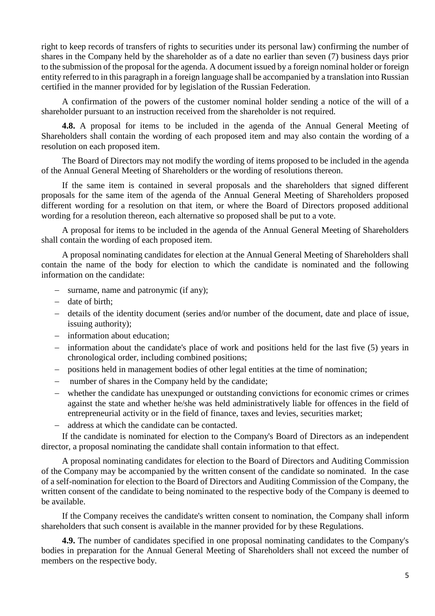right to keep records of transfers of rights to securities under its personal law) confirming the number of shares in the Company held by the shareholder as of a date no earlier than seven (7) business days prior to the submission of the proposal for the agenda. A document issued by a foreign nominal holder or foreign entity referred to in this paragraph in a foreign language shall be accompanied by a translation into Russian certified in the manner provided for by legislation of the Russian Federation.

A confirmation of the powers of the customer nominal holder sending a notice of the will of a shareholder pursuant to an instruction received from the shareholder is not required.

**4.8.** A proposal for items to be included in the agenda of the Annual General Meeting of Shareholders shall contain the wording of each proposed item and may also contain the wording of a resolution on each proposed item.

The Board of Directors may not modify the wording of items proposed to be included in the agenda of the Annual General Meeting of Shareholders or the wording of resolutions thereon.

If the same item is contained in several proposals and the shareholders that signed different proposals for the same item of the agenda of the Annual General Meeting of Shareholders proposed different wording for a resolution on that item, or where the Board of Directors proposed additional wording for a resolution thereon, each alternative so proposed shall be put to a vote.

A proposal for items to be included in the agenda of the Annual General Meeting of Shareholders shall contain the wording of each proposed item.

A proposal nominating candidates for election at the Annual General Meeting of Shareholders shall contain the name of the body for election to which the candidate is nominated and the following information on the candidate:

- surname, name and patronymic (if any);
- $-$  date of birth:
- details of the identity document (series and/or number of the document, date and place of issue, issuing authority);
- information about education;
- information about the candidate's place of work and positions held for the last five (5) years in chronological order, including combined positions;
- positions held in management bodies of other legal entities at the time of nomination;
- number of shares in the Company held by the candidate;
- whether the candidate has unexpunged or outstanding convictions for economic crimes or crimes against the state and whether he/she was held administratively liable for offences in the field of entrepreneurial activity or in the field of finance, taxes and levies, securities market;
- address at which the candidate can be contacted.

If the candidate is nominated for election to the Company's Board of Directors as an independent director, a proposal nominating the candidate shall contain information to that effect.

A proposal nominating candidates for election to the Board of Directors and Auditing Commission of the Company may be accompanied by the written consent of the candidate so nominated. In the case of a self-nomination for election to the Board of Directors and Auditing Commission of the Company, the written consent of the candidate to being nominated to the respective body of the Company is deemed to be available.

If the Company receives the candidate's written consent to nomination, the Company shall inform shareholders that such consent is available in the manner provided for by these Regulations.

**4.9.** The number of candidates specified in one proposal nominating candidates to the Company's bodies in preparation for the Annual General Meeting of Shareholders shall not exceed the number of members on the respective body.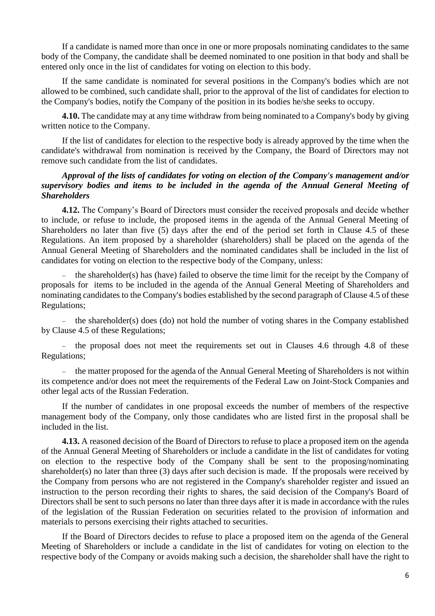If a candidate is named more than once in one or more proposals nominating candidates to the same body of the Company, the candidate shall be deemed nominated to one position in that body and shall be entered only once in the list of candidates for voting on election to this body.

If the same candidate is nominated for several positions in the Company's bodies which are not allowed to be combined, such candidate shall, prior to the approval of the list of candidates for election to the Company's bodies, notify the Company of the position in its bodies he/she seeks to occupy.

**4.10.** The candidate may at any time withdraw from being nominated to a Company's body by giving written notice to the Company.

If the list of candidates for election to the respective body is already approved by the time when the candidate's withdrawal from nomination is received by the Company, the Board of Directors may not remove such candidate from the list of candidates.

# *Approval of the lists of candidates for voting on election of the Company's management and/or supervisory bodies and items to be included in the agenda of the Annual General Meeting of Shareholders*

**4.12.** The Company's Board of Directors must consider the received proposals and decide whether to include, or refuse to include, the proposed items in the agenda of the Annual General Meeting of Shareholders no later than five (5) days after the end of the period set forth in Clause 4.5 of these Regulations. An item proposed by a shareholder (shareholders) shall be placed on the agenda of the Annual General Meeting of Shareholders and the nominated candidates shall be included in the list of candidates for voting on election to the respective body of the Company, unless:

 the shareholder(s) has (have) failed to observe the time limit for the receipt by the Company of proposals for items to be included in the agenda of the Annual General Meeting of Shareholders and nominating candidates to the Company's bodies established by the second paragraph of Clause 4.5 of these Regulations;

- the shareholder(s) does (do) not hold the number of voting shares in the Company established by Clause 4.5 of these Regulations;

- the proposal does not meet the requirements set out in Clauses 4.6 through 4.8 of these Regulations;

 the matter proposed for the agenda of the Annual General Meeting of Shareholders is not within its competence and/or does not meet the requirements of the Federal Law on Joint-Stock Companies and other legal acts of the Russian Federation.

If the number of candidates in one proposal exceeds the number of members of the respective management body of the Company, only those candidates who are listed first in the proposal shall be included in the list.

**4.13.** A reasoned decision of the Board of Directors to refuse to place a proposed item on the agenda of the Annual General Meeting of Shareholders or include a candidate in the list of candidates for voting on election to the respective body of the Company shall be sent to the proposing/nominating shareholder(s) no later than three (3) days after such decision is made. If the proposals were received by the Company from persons who are not registered in the Company's shareholder register and issued an instruction to the person recording their rights to shares, the said decision of the Company's Board of Directors shall be sent to such persons no later than three days after it is made in accordance with the rules of [the legislation](http://garant.rrost.lan/#/document/10106464/entry/0) of the Russian Federation on securities related to the provision of information and materials to persons exercising their rights attached to securities.

If the Board of Directors decides to refuse to place a proposed item on the agenda of the General Meeting of Shareholders or include a candidate in the list of candidates for voting on election to the respective body of the Company or avoids making such a decision, the shareholder shall have the right to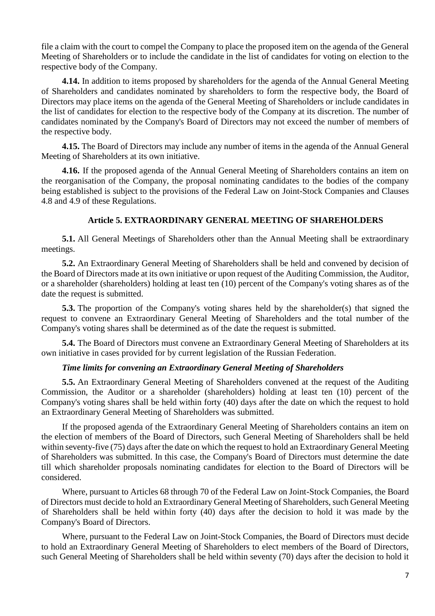file a claim with the court to compel the Company to place the proposed item on the agenda of the General Meeting of Shareholders or to include the candidate in the list of candidates for voting on election to the respective body of the Company.

**4.14.** In addition to items proposed by shareholders for the agenda of the Annual General Meeting of Shareholders and candidates nominated by shareholders to form the respective body, the Board of Directors may place items on the agenda of the General Meeting of Shareholders or include candidates in the list of candidates for election to the respective body of the Company at its discretion. The number of candidates nominated by the Company's Board of Directors may not exceed the number of members of the respective body.

**4.15.** The Board of Directors may include any number of items in the agenda of the Annual General Meeting of Shareholders at its own initiative.

**4.16.** If the proposed agenda of the Annual General Meeting of Shareholders contains an item on the reorganisation of the Company, the proposal nominating candidates to the bodies of the company being established is subject to the provisions of the Federal Law on Joint-Stock Companies and Clauses 4.8 and 4.9 of these Regulations.

# **Article 5. EXTRAORDINARY GENERAL MEETING OF SHAREHOLDERS**

**5.1.** All General Meetings of Shareholders other than the Annual Meeting shall be extraordinary meetings.

**5.2.** An Extraordinary General Meeting of Shareholders shall be held and convened by decision of the Board of Directors made at its own initiative or upon request of the Auditing Commission, the Auditor, or a shareholder (shareholders) holding at least ten (10) percent of the Company's voting shares as of the date the request is submitted.

**5.3.** The proportion of the Company's voting shares held by the shareholder(s) that signed the request to convene an Extraordinary General Meeting of Shareholders and the total number of the Company's voting shares shall be determined as of the date the request is submitted.

**5.4.** The Board of Directors must convene an Extraordinary General Meeting of Shareholders at its own initiative in cases provided for by current legislation of the Russian Federation.

## *Time limits for convening an Extraordinary General Meeting of Shareholders*

**5.5.** An Extraordinary General Meeting of Shareholders convened at the request of the Auditing Commission, the Auditor or a shareholder (shareholders) holding at least ten (10) percent of the Company's voting shares shall be held within forty (40) days after the date on which the request to hold an Extraordinary General Meeting of Shareholders was submitted.

If the proposed agenda of the Extraordinary General Meeting of Shareholders contains an item on the election of members of the Board of Directors, such General Meeting of Shareholders shall be held within seventy-five (75) days after the date on which the request to hold an Extraordinary General Meeting of Shareholders was submitted. In this case, the Company's Board of Directors must determine the date till which shareholder proposals nominating candidates for election to the Board of Directors will be considered.

Where, pursuant to Articles 68 through 70 of the Federal Law on Joint-Stock Companies, the Board of Directors must decide to hold an Extraordinary General Meeting of Shareholders, such General Meeting of Shareholders shall be held within forty (40) days after the decision to hold it was made by the Company's Board of Directors.

Where, pursuant to the Federal Law on Joint-Stock Companies, the Board of Directors must decide to hold an Extraordinary General Meeting of Shareholders to elect members of the Board of Directors, such General Meeting of Shareholders shall be held within seventy (70) days after the decision to hold it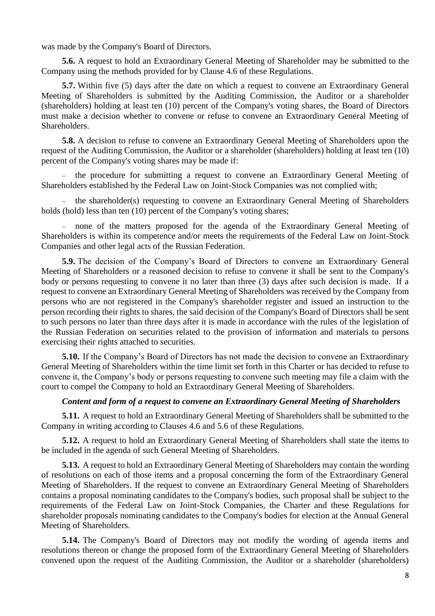was made by the Company's Board of Directors.

**5.6.** A request to hold an Extraordinary General Meeting of Shareholder may be submitted to the Company using the methods provided for by Clause 4.6 of these Regulations.

**5.7.** Within five (5) days after the date on which a request to convene an Extraordinary General Meeting of Shareholders is submitted by the Auditing Commission, the Auditor or a shareholder (shareholders) holding at least ten (10) percent of the Company's voting shares, the Board of Directors must make a decision whether to convene or refuse to convene an Extraordinary General Meeting of **Shareholders** 

**5.8.** A decision to refuse to convene an Extraordinary General Meeting of Shareholders upon the request of the Auditing Commission, the Auditor or a shareholder (shareholders) holding at least ten (10) percent of the Company's voting shares may be made if:

 the procedure for submitting a request to convene an Extraordinary General Meeting of Shareholders established by the Federal Law on Joint-Stock Companies was not complied with;

 the shareholder(s) requesting to convene an Extraordinary General Meeting of Shareholders holds (hold) less than ten (10) percent of the Company's voting shares;

 none of the matters proposed for the agenda of the Extraordinary General Meeting of Shareholders is within its competence and/or meets the requirements of the Federal Law on Joint-Stock Companies and other legal acts of the Russian Federation.

**5.9.** The decision of the Company's Board of Directors to convene an Extraordinary General Meeting of Shareholders or a reasoned decision to refuse to convene it shall be sent to the Company's body or persons requesting to convene it no later than three (3) days after such decision is made. If a request to convene an Extraordinary General Meeting of Shareholders was received by the Company from persons who are not registered in the Company's shareholder register and issued an instruction to the person recording their rights to shares, the said decision of the Company's Board of Directors shall be sent to such persons no later than three days after it is made in accordance with the rules of the [legislation o](http://garant.rrost.lan/#/document/10106464/entry/0)f the Russian Federation on securities related to the provision of information and materials to persons exercising their rights attached to securities.

**5.10.** If the Company's Board of Directors has not made the decision to convene an Extraordinary General Meeting of Shareholders within the time limit set forth in this Charter or has decided to refuse to convene it, the Company's body or persons requesting to convene such meeting may file a claim with the court to compel the Company to hold an Extraordinary General Meeting of Shareholders.

# *Content and form of a request to convene an Extraordinary General Meeting of Shareholders*

**5.11.** A request to hold an Extraordinary General Meeting of Shareholders shall be submitted to the Company in writing according to Clauses 4.6 and 5.6 of these Regulations.

**5.12.** A request to hold an Extraordinary General Meeting of Shareholders shall state the items to be included in the agenda of such General Meeting of Shareholders.

**5.13.** A request to hold an Extraordinary General Meeting of Shareholders may contain the wording of resolutions on each of those items and a proposal concerning the form of the Extraordinary General Meeting of Shareholders. If the request to convene an Extraordinary General Meeting of Shareholders contains a proposal nominating candidates to the Company's bodies, such proposal shall be subject to the requirements of the Federal Law on Joint-Stock Companies, the Charter and these Regulations for shareholder proposals nominating candidates to the Company's bodies for election at the Annual General Meeting of Shareholders.

**5.14.** The Company's Board of Directors may not modify the wording of agenda items and resolutions thereon or change the proposed form of the Extraordinary General Meeting of Shareholders convened upon the request of the Auditing Commission, the Auditor or a shareholder (shareholders)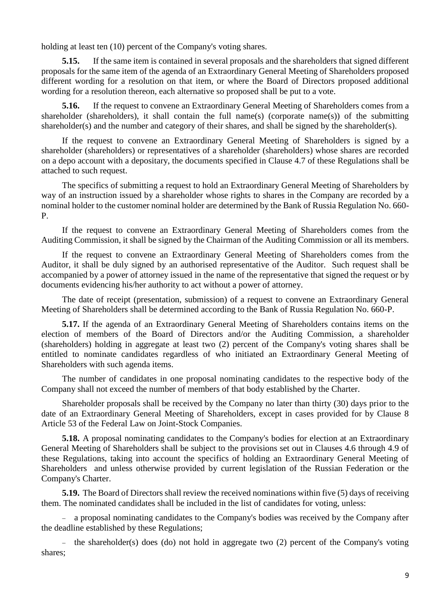holding at least ten (10) percent of the Company's voting shares.

**5.15.** If the same item is contained in several proposals and the shareholders that signed different proposals for the same item of the agenda of an Extraordinary General Meeting of Shareholders proposed different wording for a resolution on that item, or where the Board of Directors proposed additional wording for a resolution thereon, each alternative so proposed shall be put to a vote.

**5.16.** If the request to convene an Extraordinary General Meeting of Shareholders comes from a shareholder (shareholders), it shall contain the full name(s) (corporate name(s)) of the submitting shareholder(s) and the number and category of their shares, and shall be signed by the shareholder(s).

If the request to convene an Extraordinary General Meeting of Shareholders is signed by a shareholder (shareholders) or representatives of a shareholder (shareholders) whose shares are recorded on a depo account with a depositary, the documents specified in Clause 4.7 of these Regulations shall be attached to such request.

The specifics of submitting a request to hold an Extraordinary General Meeting of Shareholders by way of an instruction issued by a shareholder whose rights to shares in the Company are recorded by a nominal holder to the customer nominal holder are determined by the Bank of Russia Regulation No. 660- P.

If the request to convene an Extraordinary General Meeting of Shareholders comes from the Auditing Commission, it shall be signed by the Chairman of the Auditing Commission or all its members.

If the request to convene an Extraordinary General Meeting of Shareholders comes from the Auditor, it shall be duly signed by an authorised representative of the Auditor. Such request shall be accompanied by a power of attorney issued in the name of the representative that signed the request or by documents evidencing his/her authority to act without a power of attorney.

The date of receipt (presentation, submission) of a request to convene an Extraordinary General Meeting of Shareholders shall be determined according to the Bank of Russia Regulation No. 660-P.

**5.17.** If the agenda of an Extraordinary General Meeting of Shareholders contains items on the election of members of the Board of Directors and/or the Auditing Commission, a shareholder (shareholders) holding in aggregate at least two (2) percent of the Company's voting shares shall be entitled to nominate candidates regardless of who initiated an Extraordinary General Meeting of Shareholders with such agenda items.

The number of candidates in one proposal nominating candidates to the respective body of the Company shall not exceed the number of members of that body established by the Charter.

Shareholder proposals shall be received by the Company no later than thirty (30) days prior to the date of an Extraordinary General Meeting of Shareholders, except in cases provided for by Clause 8 Article 53 of the Federal Law on Joint-Stock Companies.

**5.18.** A proposal nominating candidates to the Company's bodies for election at an Extraordinary General Meeting of Shareholders shall be subject to the provisions set out in Clauses 4.6 through 4.9 of these Regulations, taking into account the specifics of holding an Extraordinary General Meeting of Shareholders and unless otherwise provided by current legislation of the Russian Federation or the Company's Charter.

**5.19.** The Board of Directors shall review the received nominations within five (5) days of receiving them. The nominated candidates shall be included in the list of candidates for voting, unless:

 a proposal nominating candidates to the Company's bodies was received by the Company after the deadline established by these Regulations;

- the shareholder(s) does (do) not hold in aggregate two  $(2)$  percent of the Company's voting shares;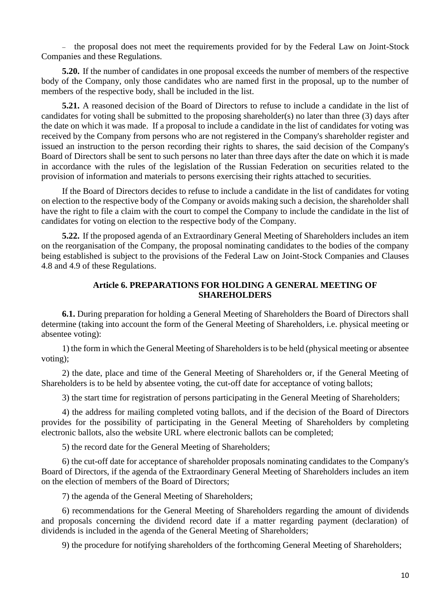- the proposal does not meet the requirements provided for by the Federal Law on Joint-Stock Companies and these Regulations.

**5.20.** If the number of candidates in one proposal exceeds the number of members of the respective body of the Company, only those candidates who are named first in the proposal, up to the number of members of the respective body, shall be included in the list.

**5.21.** A reasoned decision of the Board of Directors to refuse to include a candidate in the list of candidates for voting shall be submitted to the proposing shareholder(s) no later than three (3) days after the date on which it was made. If a proposal to include a candidate in the list of candidates for voting was received by the Company from persons who are not registered in the Company's shareholder register and issued an instruction to the person recording their rights to shares, the said decision of the Company's Board of Directors shall be sent to such persons no later than three days after the date on which it is made in accordance with the rules of the [legislation](http://garant.rrost.lan/#/document/10106464/entry/0) of the Russian Federation on securities related to the provision of information and materials to persons exercising their rights attached to securities.

If the Board of Directors decides to refuse to include a candidate in the list of candidates for voting on election to the respective body of the Company or avoids making such a decision, the shareholder shall have the right to file a claim with the court to compel the Company to include the candidate in the list of candidates for voting on election to the respective body of the Company.

**5.22.** If the proposed agenda of an Extraordinary General Meeting of Shareholders includes an item on the reorganisation of the Company, the proposal nominating candidates to the bodies of the company being established is subject to the provisions of the Federal Law on Joint-Stock Companies and Clauses 4.8 and 4.9 of these Regulations.

# **Article 6. PREPARATIONS FOR HOLDING A GENERAL MEETING OF SHAREHOLDERS**

**6.1.** During preparation for holding a General Meeting of Shareholders the Board of Directors shall determine (taking into account the form of the General Meeting of Shareholders, i.e. physical meeting or absentee voting):

1) the form in which the General Meeting of Shareholders is to be held (physical meeting or absentee voting);

2) the date, [place](consultantplus://offline/ref=7C049FC35356113600DA1E84213A1CC3078757CDAFE9CD1CBC8FBBFDCBFA776C820C03C51AE3740CY1l6J) and time of the General Meeting of Shareholders or, if the General Meeting of Shareholders is to be held by absentee voting, the cut-off date for acceptance of voting ballots;

3) the start time for registration of persons participating in the General Meeting of Shareholders;

4) the address for mailing completed voting ballots, and if the decision of the Board of Directors provides for the possibility of participating in the General Meeting of Shareholders by completing electronic ballots, also the website URL where electronic ballots can be completed;

5) the record date for the General Meeting of Shareholders;

6) the cut-off date for acceptance of shareholder proposals nominating candidates to the Company's Board of Directors, if the agenda of the Extraordinary General Meeting of Shareholders includes an item on the election of members of the Board of Directors;

7) the agenda of the General Meeting of Shareholders;

6) recommendations for the General Meeting of Shareholders regarding the amount of dividends and proposals concerning the dividend record date if a matter regarding payment (declaration) of dividends is included in the agenda of the General Meeting of Shareholders;

9) the procedure for notifying shareholders of the forthcoming General Meeting of Shareholders;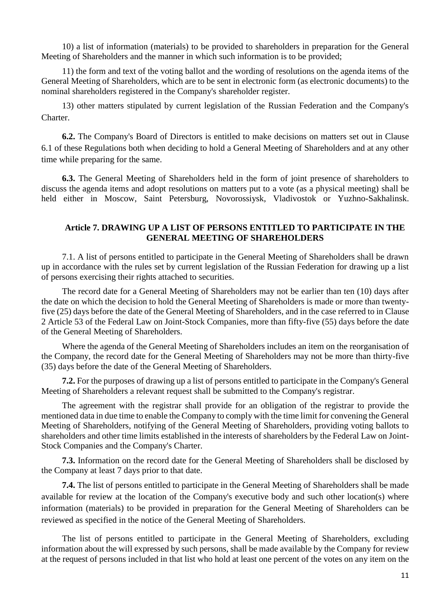10) a list of information (materials) to be provided to shareholders in preparation for the General Meeting of Shareholders and the manner in which such information is to be provided;

11) the form and text of the voting ballot and the wording of resolutions on the agenda items of the General Meeting of Shareholders, which are to be sent in electronic form (as electronic documents) to the nominal shareholders registered in the Company's shareholder register.

13) other matters stipulated by current legislation of the Russian Federation and the Company's Charter.

**6.2.** The Company's Board of Directors is entitled to make decisions on matters set out in Clause 6.1 of these Regulations both when deciding to hold a General Meeting of Shareholders and at any other time while preparing for the same.

**6.3.** The General Meeting of Shareholders held in the form of joint presence of shareholders to discuss the agenda items and adopt resolutions on matters put to a vote (as a physical meeting) shall be held either in Moscow, Saint Petersburg, Novorossiysk, Vladivostok or Yuzhno-Sakhalinsk.

# **Article 7. DRAWING UP A LIST OF PERSONS ENTITLED TO PARTICIPATE IN THE GENERAL MEETING OF SHAREHOLDERS**

7.1. A list of persons entitled to participate in the General Meeting of Shareholders shall be drawn up in accordance with the rules set by current legislation of the Russian Federation for drawing up a list of persons exercising their rights attached to securities.

The record date for a General Meeting of Shareholders may not be earlier than ten (10) days after the date on which the decision to hold the General Meeting of Shareholders is made or more than twentyfive (25) days before the date of the General Meeting of Shareholders, and in the case referred to in [Clause](consultantplus://offline/ref=CEF54EC7F7E5A6DBC9EE30E4A38D778A4782CA98845A40036C4D844CE5289766D11837EED458B1A5D036J)  [2 Article 53](consultantplus://offline/ref=CEF54EC7F7E5A6DBC9EE30E4A38D778A4782CA98845A40036C4D844CE5289766D11837EED458B1A5D036J) of the Federal Law on Joint-Stock Companies, more than fifty-five (55) days before the date of the General Meeting of Shareholders.

Where the agenda of the General Meeting of Shareholders includes an item on the reorganisation of the Company, the record date for the General Meeting of Shareholders may not be more than thirty-five (35) days before the date of the General Meeting of Shareholders.

**7.2.** For the purposes of drawing up a list of persons entitled to participate in the Company's General Meeting of Shareholders a relevant request shall be submitted to the Company's registrar.

The agreement with the registrar shall provide for an obligation of the registrar to provide the mentioned data in due time to enable the Company to comply with the time limit for convening the General Meeting of Shareholders, notifying of the General Meeting of Shareholders, providing voting ballots to shareholders and other time limits established in the interests of shareholders by the Federal Law on Joint-Stock Companies and the Company's Charter.

**7.3.** Information on the record date for the General Meeting of Shareholders shall be disclosed by the Company at least 7 days prior to that date.

**7.4.** The list of persons entitled to participate in the General Meeting of Shareholders shall be made available for review at the location of the Company's executive body and such other location(s) where information (materials) to be provided in preparation for the General Meeting of Shareholders can be reviewed as specified in the notice of the General Meeting of Shareholders.

The list of persons entitled to participate in the General Meeting of Shareholders, excluding information about the will expressed by such persons, shall be made available by the Company for review at the request of persons included in that list who hold at least one percent of the votes on any item on the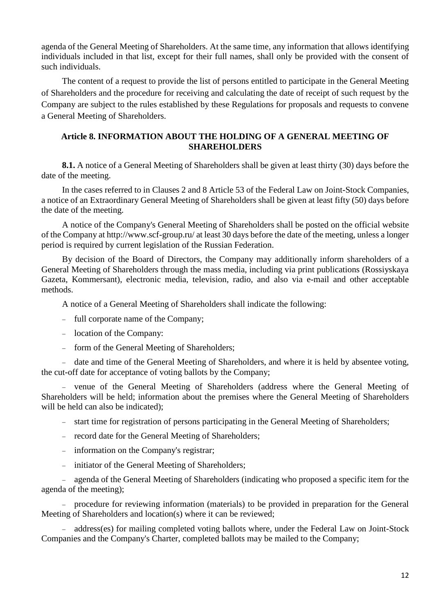agenda of the General Meeting of Shareholders. At the same time, any information that allows identifying individuals included in that list, except for their full names, shall only be provided with the consent of such individuals.

The content of a request to provide the list of persons entitled to participate in the General Meeting of Shareholders and the procedure for receiving and calculating the date of receipt of such request by the Company are subject to the rules established by these Regulations for proposals and requests to convene a General Meeting of Shareholders.

# **Article 8. INFORMATION ABOUT THE HOLDING OF A GENERAL MEETING OF SHAREHOLDERS**

**8.1.** A notice of a General Meeting of Shareholders shall be given at least thirty (30) days before the date of the meeting.

In the cases referred to in Clauses 2 and 8 Article 53 of the Federal Law on Joint-Stock Companies, a notice of an Extraordinary General Meeting of Shareholders shall be given at least fifty (50) days before the date of the meeting.

A notice of the Company's General Meeting of Shareholders shall be posted on the official website of the Company at http://www.scf-group.ru/ at least 30 days before the date of the meeting, unless a longer period is required by current legislation of the Russian Federation.

By decision of the Board of Directors, the Company may additionally inform shareholders of a General Meeting of Shareholders through the mass media, including via print publications (Rossiyskaya Gazeta, Kommersant), electronic media, television, radio, and also via e-mail and other acceptable methods.

A notice of a General Meeting of Shareholders shall indicate the following:

- full corporate name of the Company;
- location of the Company:
- form of the General Meeting of Shareholders;

- date and time of the General Meeting of Shareholders, and where it is held by absentee voting, the cut-off date for acceptance of voting ballots by the Company;

 venue of the General Meeting of Shareholders (address where the General Meeting of Shareholders will be held; information about the premises where the General Meeting of Shareholders will be held can also be indicated);

- start time for registration of persons participating in the General Meeting of Shareholders;

- record date for the General Meeting of Shareholders;
- information on the Company's registrar;
- initiator of the General Meeting of Shareholders;

 agenda of the General Meeting of Shareholders (indicating who proposed a specific item for the agenda of the meeting);

 procedure for reviewing information (materials) to be provided in preparation for the General Meeting of Shareholders and location(s) where it can be reviewed;

- address(es) for mailing completed voting ballots where, under the Federal Law on Joint-Stock Companies and the Company's Charter, completed ballots may be mailed to the Company;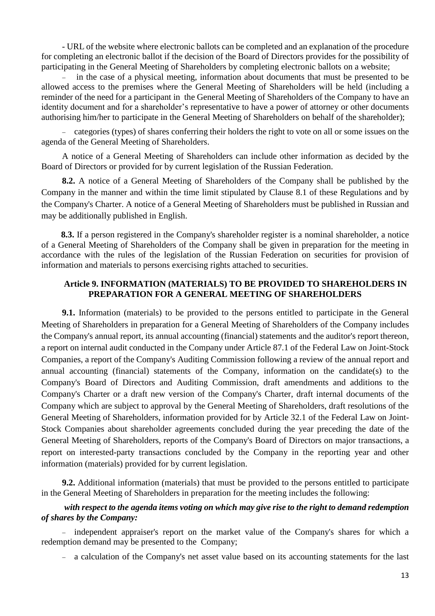- URL of the website where electronic ballots can be completed and an explanation of the procedure for completing an electronic ballot if the decision of the Board of Directors provides for the possibility of participating in the General Meeting of Shareholders by completing electronic ballots on a website;

 in the case of a physical meeting, information about documents that must be presented to be allowed access to the premises where the General Meeting of Shareholders will be held (including a reminder of the need for a participant in the General Meeting of Shareholders of the Company to have an identity document and for a shareholder's representative to have a power of attorney or other documents authorising him/her to participate in the General Meeting of Shareholders on behalf of the shareholder);

 categories (types) of shares conferring their holders the right to vote on all or some issues on the agenda of the General Meeting of Shareholders.

A notice of a General Meeting of Shareholders can include other information as decided by the Board of Directors or provided for by current legislation of the Russian Federation.

**8.2.** A notice of a General Meeting of Shareholders of the Company shall be published by the Company in the manner and within the time limit stipulated by Clause 8.1 of these Regulations and by the Company's Charter. A notice of a General Meeting of Shareholders must be published in Russian and may be additionally published in English.

**8.3.** If a person registered in the Company's shareholder register is a nominal shareholder, a notice of a General Meeting of Shareholders of the Company shall be given in preparation for the meeting in accordance with the rules of the [legislation o](consultantplus://offline/ref=D86412429E7B5C345854BB25A0A4E54A752CC416F658DCC1480D02BC036F9E5B2FFBF45C2DA8h8z8N)f the Russian Federation on securities for provision of information and materials to persons exercising rights attached to securities.

# **Article 9. INFORMATION (MATERIALS) TO BE PROVIDED TO SHAREHOLDERS IN PREPARATION FOR A GENERAL MEETING OF SHAREHOLDERS**

**9.1.** Information (materials) to be provided to the persons entitled to participate in the General Meeting of Shareholders in preparation for a General Meeting of Shareholders of the Company includes the Company's annual report, its annual accounting (financial) statements and the auditor's report thereon, a report on internal audit conducted in the Company under [Article 87.1](http://garant.rrost.lan/#/document/10105712/entry/871) of the Federal Law on Joint-Stock Companies, a report of the Company's Auditing Commission following a review of the annual report and annual accounting (financial) statements of the Company, information on the candidate(s) to the Company's Board of Directors and Auditing Commission, draft amendments and additions to the Company's Charter or a draft new version of the Company's Charter, draft internal documents of the Company which are subject to approval by the General Meeting of Shareholders, draft resolutions of the General Meeting of Shareholders, information provided for by [Article 32.1](http://garant.rrost.lan/#/document/10105712/entry/321) of the Federal Law on Joint-Stock Companies about shareholder agreements concluded during the year preceding the date of the General Meeting of Shareholders, reports of the Company's Board of Directors on major transactions, a report on interested-party transactions concluded by the Company in the reporting year and other information (materials) provided for by current legislation.

**9.2.** Additional information (materials) that must be provided to the persons entitled to participate in the General Meeting of Shareholders in preparation for the meeting includes the following:

# *with respect to the agenda items voting on which may give rise to the right to demand redemption of shares by the Company:*

- independent appraiser's report on the market value of the Company's shares for which a redemption demand may be presented to the Company;

a calculation of the Company's net asset value based on its accounting statements for the last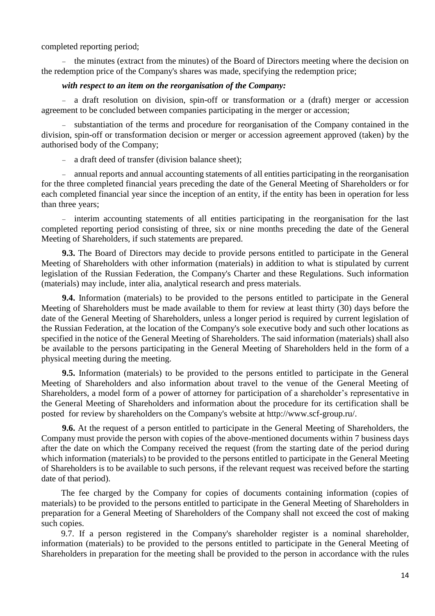completed reporting period;

 $\epsilon$  the minutes (extract from the minutes) of the Board of Directors meeting where the decision on the redemption price of the Company's shares was made, specifying the redemption price;

#### *with respect to an item on the reorganisation of the Company:*

 a draft resolution on division, spin-off or transformation or a (draft) merger or accession agreement to be concluded between companies participating in the merger or accession;

- substantiation of the terms and procedure for reorganisation of the Company contained in the division, spin-off or transformation decision or merger or accession agreement approved (taken) by the authorised body of the Company;

- a draft deed of transfer (division balance sheet);

 annual reports and annual accounting statements of all entities participating in the reorganisation for the three completed financial years preceding the date of the General Meeting of Shareholders or for each completed financial year since the inception of an entity, if the entity has been in operation for less than three years;

- interim accounting statements of all entities participating in the reorganisation for the last completed reporting period consisting of three, six or nine months preceding the date of the General Meeting of Shareholders, if such statements are prepared.

**9.3.** The Board of Directors may decide to provide persons entitled to participate in the General Meeting of Shareholders with other information (materials) in addition to what is stipulated by current legislation of the Russian Federation, the Company's Charter and these Regulations. Such information (materials) may include, inter alia, analytical research and press materials.

**9.4.** Information (materials) to be provided to the persons entitled to participate in the General Meeting of Shareholders must be made available to them for review at least thirty (30) days before the date of the General Meeting of Shareholders, unless a longer period is required by current legislation of the Russian Federation, at the location of the Company's sole executive body and such other locations as specified in the notice of the General Meeting of Shareholders. The said information (materials) shall also be available to the persons participating in the General Meeting of Shareholders held in the form of a physical meeting during the meeting.

**9.5.** Information (materials) to be provided to the persons entitled to participate in the General Meeting of Shareholders and also information about travel to the venue of the General Meeting of Shareholders, a model form of a power of attorney for participation of a shareholder's representative in the General Meeting of Shareholders and information about the procedure for its certification shall be posted for review by shareholders on the Company's website at http://www.scf-group.ru/.

**9.6.** At the request of a person entitled to participate in the General Meeting of Shareholders, the Company must provide the person with copies of the above-mentioned documents within 7 business days after the date on which the Company received the request (from the starting date of the period during which information (materials) to be provided to the persons entitled to participate in the General Meeting of Shareholders is to be available to such persons, if the relevant request was received before the starting date of that period).

The fee charged by the Company for copies of documents containing information (copies of materials) to be provided to the persons entitled to participate in the General Meeting of Shareholders in preparation for a General Meeting of Shareholders of the Company shall not exceed the cost of making such copies.

9.7. If a person registered in the Company's shareholder register is a nominal shareholder, information (materials) to be provided to the persons entitled to participate in the General Meeting of Shareholders in preparation for the meeting shall be provided to the person in accordance with the rules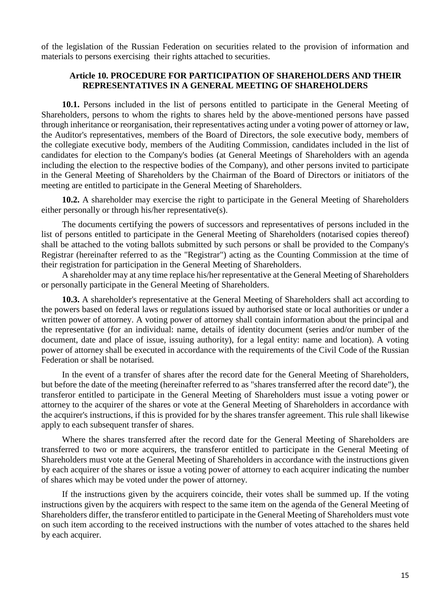of the [legislation](consultantplus://offline/ref=D86412429E7B5C345854BB25A0A4E54A752CC416F658DCC1480D02BC036F9E5B2FFBF45C2DA8h8z8N) of the Russian Federation on securities related to the provision of information and materials to persons exercising their rights attached to securities.

# **Article 10. PROCEDURE FOR PARTICIPATION OF SHAREHOLDERS AND THEIR REPRESENTATIVES IN A GENERAL MEETING OF SHAREHOLDERS**

**10.1.** Persons included in the list of persons entitled to participate in the General Meeting of Shareholders, persons to whom the rights to shares held by the above-mentioned persons have passed through inheritance or reorganisation, their representatives acting under a voting power of attorney or law, the Auditor's representatives, members of the Board of Directors, the sole executive body, members of the collegiate executive body, members of the Auditing Commission, candidates included in the list of candidates for election to the Company's bodies (at General Meetings of Shareholders with an agenda including the election to the respective bodies of the Company), and other persons invited to participate in the General Meeting of Shareholders by the Chairman of the Board of Directors or initiators of the meeting are entitled to participate in the General Meeting of Shareholders.

**10.2.** A shareholder may exercise the right to participate in the General Meeting of Shareholders either personally or through his/her representative(s).

The documents certifying the powers of successors and representatives of persons included in the list of persons entitled to participate in the General Meeting of Shareholders (notarised copies thereof) shall be attached to the voting ballots submitted by such persons or shall be provided to the Company's Registrar (hereinafter referred to as the "Registrar") acting as the Counting Commission at the time of their registration for participation in the General Meeting of Shareholders.

A shareholder may at any time replace his/her representative at the General Meeting of Shareholders or personally participate in the General Meeting of Shareholders.

**10.3.** A shareholder's representative at the General Meeting of Shareholders shall act according to the powers based on federal laws or regulations issued by authorised state or local authorities or under a written power of attorney. A voting power of attorney shall contain information about the principal and the representative (for an individual: name, details of identity document (series and/or number of the document, date and place of issue, issuing authority), for a legal entity: name and location). A voting power of attorney shall be executed in accordance with the requirements of the Civil Code of the Russian Federation or shall be notarised.

In the event of a transfer of shares after the record date for the General Meeting of Shareholders, but before the date of the meeting (hereinafter referred to as "shares transferred after the record date"), the transferor entitled to participate in the General Meeting of Shareholders must issue a voting power or attorney to the acquirer of the shares or vote at the General Meeting of Shareholders in accordance with the acquirer's instructions, if this is provided for by the shares transfer agreement. This rule shall likewise apply to each subsequent transfer of shares.

Where the shares transferred after the record date for the General Meeting of Shareholders are transferred to two or more acquirers, the transferor entitled to participate in the General Meeting of Shareholders must vote at the General Meeting of Shareholders in accordance with the instructions given by each acquirer of the shares or issue a voting power of attorney to each acquirer indicating the number of shares which may be voted under the power of attorney.

If the instructions given by the acquirers coincide, their votes shall be summed up. If the voting instructions given by the acquirers with respect to the same item on the agenda of the General Meeting of Shareholders differ, the transferor entitled to participate in the General Meeting of Shareholders must vote on such item according to the received instructions with the number of votes attached to the shares held by each acquirer.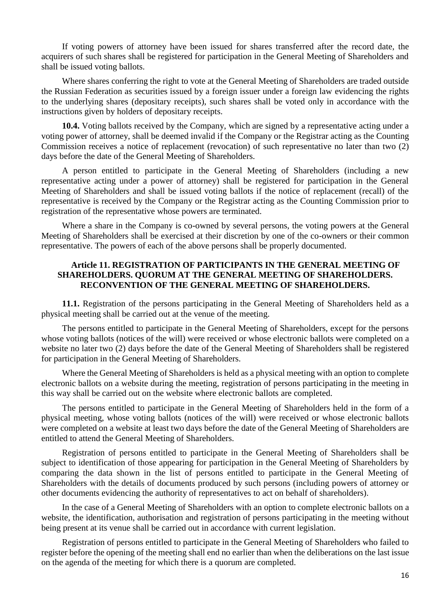If voting powers of attorney have been issued for shares transferred after the record date, the acquirers of such shares shall be registered for participation in the General Meeting of Shareholders and shall be issued voting ballots.

Where shares conferring the right to vote at the General Meeting of Shareholders are traded outside the Russian Federation as securities issued by a foreign issuer under a foreign law evidencing the rights to the underlying shares (depositary receipts), such shares shall be voted only in accordance with the instructions given by holders of depositary receipts.

**10.4.** Voting ballots received by the Company, which are signed by a representative acting under a voting power of attorney, shall be deemed invalid if the Company or the Registrar acting as the Counting Commission receives a notice of replacement (revocation) of such representative no later than two (2) days before the date of the General Meeting of Shareholders.

A person entitled to participate in the General Meeting of Shareholders (including a new representative acting under a power of attorney) shall be registered for participation in the General Meeting of Shareholders and shall be issued voting ballots if the notice of replacement (recall) of the representative is received by the Company or the Registrar acting as the Counting Commission prior to registration of the representative whose powers are terminated.

Where a share in the Company is co-owned by several persons, the voting powers at the General Meeting of Shareholders shall be exercised at their discretion by one of the co-owners or their common representative. The powers of each of the above persons shall be properly documented.

# **Article 11. REGISTRATION OF PARTICIPANTS IN THE GENERAL MEETING OF SHAREHOLDERS. QUORUM AT THE GENERAL MEETING OF SHAREHOLDERS. RECONVENTION OF THE GENERAL MEETING OF SHAREHOLDERS.**

**11.1.** Registration of the persons participating in the General Meeting of Shareholders held as a physical meeting shall be carried out at the venue of the meeting.

The persons entitled to participate in the General Meeting of Shareholders, except for the persons whose voting ballots (notices of the will) were received or whose electronic ballots were completed on a website no later two (2) days before the date of the General Meeting of Shareholders shall be registered for participation in the General Meeting of Shareholders.

Where the General Meeting of Shareholders is held as a physical meeting with an option to complete electronic ballots on a website during the meeting, registration of persons participating in the meeting in this way shall be carried out on the website where electronic ballots are completed.

The persons entitled to participate in the General Meeting of Shareholders held in the form of a physical meeting, whose voting ballots (notices of the will) were received or whose electronic ballots were completed on a website at least two days before the date of the General Meeting of Shareholders are entitled to attend the General Meeting of Shareholders.

Registration of persons entitled to participate in the General Meeting of Shareholders shall be subject to identification of those appearing for participation in the General Meeting of Shareholders by comparing the data shown in the list of persons entitled to participate in the General Meeting of Shareholders with the details of documents produced by such persons (including powers of attorney or other documents evidencing the authority of representatives to act on behalf of shareholders).

In the case of a General Meeting of Shareholders with an option to complete electronic ballots on a website, the identification, authorisation and registration of persons participating in the meeting without being present at its venue shall be carried out in accordance with current legislation.

Registration of persons entitled to participate in the General Meeting of Shareholders who failed to register before the opening of the meeting shall end no earlier than when the deliberations on the last issue on the agenda of the meeting for which there is a quorum are completed.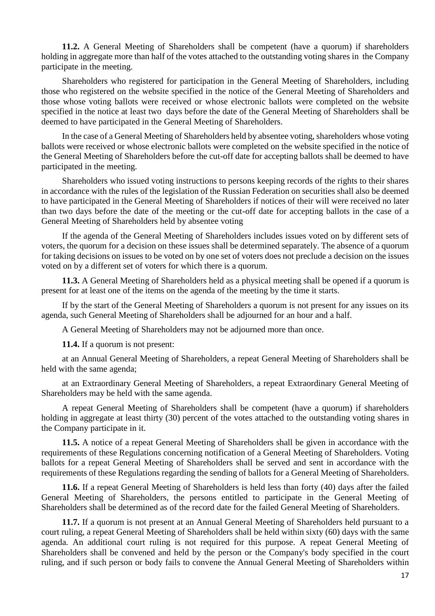**11.2.** A General Meeting of Shareholders shall be competent (have a quorum) if shareholders holding in aggregate more than half of the votes attached to the outstanding voting shares in the Company participate in the meeting.

Shareholders who registered for participation in the General Meeting of Shareholders, including those who registered on the website specified in the notice of the General Meeting of Shareholders and those whose voting ballots were received or whose electronic ballots were completed on the website specified in the notice at least two days before the date of the General Meeting of Shareholders shall be deemed to have participated in the General Meeting of Shareholders.

In the case of a General Meeting of Shareholders held by absentee voting, shareholders whose voting ballots were received or whose electronic ballots were completed on the website specified in the notice of the General Meeting of Shareholders before the cut-off date for accepting ballots shall be deemed to have participated in the meeting.

Shareholders who issued voting instructions to persons keeping records of the rights to their shares in accordance with the rules of the [legislation](http://garant.rrost.lan/#/document/10106464/entry/890) of the Russian Federation on securities shall also be deemed to have participated in the General Meeting of Shareholders if notices of their will were received no later than two days before the date of the meeting or the cut-off date for accepting ballots in the case of a General Meeting of Shareholders held by absentee voting

If the agenda of the General Meeting of Shareholders includes issues voted on by different sets of voters, the quorum for a decision on these issues shall be determined separately. The absence of a quorum for taking decisions on issues to be voted on by one set of voters does not preclude a decision on the issues voted on by a different set of voters for which there is a quorum.

**11.3.** A General Meeting of Shareholders held as a physical meeting shall be opened if a quorum is present for at least one of the items on the agenda of the meeting by the time it starts.

If by the start of the General Meeting of Shareholders a quorum is not present for any issues on its agenda, such General Meeting of Shareholders shall be adjourned for an hour and a half.

A General Meeting of Shareholders may not be adjourned more than once.

**11.4.** If a quorum is not present:

at an Annual General Meeting of Shareholders, a repeat General Meeting of Shareholders shall be held with the same agenda;

at an Extraordinary General Meeting of Shareholders, a repeat Extraordinary General Meeting of Shareholders may be held with the same agenda.

A repeat General Meeting of Shareholders shall be competent (have a quorum) if shareholders holding in aggregate at least thirty (30) percent of the votes attached to the outstanding voting shares in the Company participate in it.

**11.5.** A notice of a repeat General Meeting of Shareholders shall be given in accordance with the requirements of these Regulations concerning notification of a General Meeting of Shareholders. Voting ballots for a repeat General Meeting of Shareholders shall be served and sent in accordance with the requirements of these Regulations regarding the sending of ballots for a General Meeting of Shareholders.

**11.6.** If a repeat General Meeting of Shareholders is held less than forty (40) days after the failed General Meeting of Shareholders, the persons entitled to participate in the General Meeting of Shareholders shall be determined as of the record date for the failed General Meeting of Shareholders.

**11.7.** If a quorum is not present at an Annual General Meeting of Shareholders held pursuant to a court ruling, a repeat General Meeting of Shareholders shall be held within sixty (60) days with the same agenda. An additional court ruling is not required for this purpose. A repeat General Meeting of Shareholders shall be convened and held by the person or the Company's body specified in the court ruling, and if such person or body fails to convene the Annual General Meeting of Shareholders within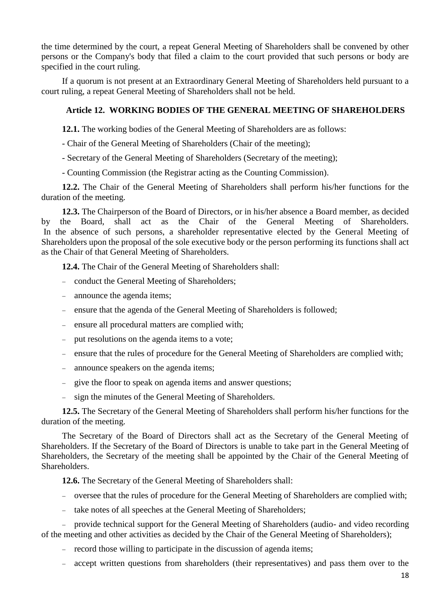the time determined by the court, a repeat General Meeting of Shareholders shall be convened by other persons or the Company's body that filed a claim to the court provided that such persons or body are specified in the court ruling.

If a quorum is not present at an Extraordinary General Meeting of Shareholders held pursuant to a court ruling, a repeat General Meeting of Shareholders shall not be held.

# **Article 12. WORKING BODIES OF THE GENERAL MEETING OF SHAREHOLDERS**

**12.1.** The working bodies of the General Meeting of Shareholders are as follows:

- Chair of the General Meeting of Shareholders (Chair of the meeting);
- Secretary of the General Meeting of Shareholders (Secretary of the meeting);
- Counting Commission (the Registrar acting as the Counting Commission).

**12.2.** The Chair of the General Meeting of Shareholders shall perform his/her functions for the duration of the meeting.

**12.3.** The Chairperson of the Board of Directors, or in his/her absence a Board member, as decided by the Board, shall act as the Chair of the General Meeting of Shareholders. In the absence of such persons, a shareholder representative elected by the General Meeting of Shareholders upon the proposal of the sole executive body or the person performing its functions shall act as the Chair of that General Meeting of Shareholders.

**12.4.** The Chair of the General Meeting of Shareholders shall:

- conduct the General Meeting of Shareholders;
- announce the agenda items;
- ensure that the agenda of the General Meeting of Shareholders is followed;
- ensure all procedural matters are complied with;
- put resolutions on the agenda items to a vote;
- ensure that the rules of procedure for the General Meeting of Shareholders are complied with;
- announce speakers on the agenda items;
- give the floor to speak on agenda items and answer questions;
- sign the minutes of the General Meeting of Shareholders.

**12.5.** The Secretary of the General Meeting of Shareholders shall perform his/her functions for the duration of the meeting.

The Secretary of the Board of Directors shall act as the Secretary of the General Meeting of Shareholders. If the Secretary of the Board of Directors is unable to take part in the General Meeting of Shareholders, the Secretary of the meeting shall be appointed by the Chair of the General Meeting of Shareholders.

**12.6.** The Secretary of the General Meeting of Shareholders shall:

- oversee that the rules of procedure for the General Meeting of Shareholders are complied with;
- take notes of all speeches at the General Meeting of Shareholders;

 provide technical support for the General Meeting of Shareholders (audio- and video recording of the meeting and other activities as decided by the Chair of the General Meeting of Shareholders);

- record those willing to participate in the discussion of agenda items;
- accept written questions from shareholders (their representatives) and pass them over to the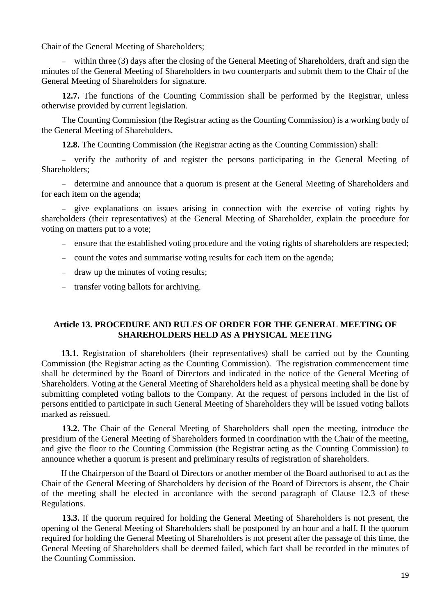Chair of the General Meeting of Shareholders;

 within three (3) days after the closing of the General Meeting of Shareholders, draft and sign the minutes of the General Meeting of Shareholders in two counterparts and submit them to the Chair of the General Meeting of Shareholders for signature.

**12.7.** The functions of the Counting Commission shall be performed by the Registrar, unless otherwise provided by current legislation.

The Counting Commission (the Registrar acting as the Counting Commission) is a working body of the General Meeting of Shareholders.

**12.8.** The Counting Commission (the Registrar acting as the Counting Commission) shall:

 verify the authority of and register the persons participating in the General Meeting of Shareholders;

 determine and announce that a quorum is present at the General Meeting of Shareholders and for each item on the agenda;

- give explanations on issues arising in connection with the exercise of voting rights by shareholders (their representatives) at the General Meeting of Shareholder, explain the procedure for voting on matters put to a vote;

- ensure that the established voting procedure and the voting rights of shareholders are respected;
- count the votes and summarise voting results for each item on the agenda;
- draw up the minutes of voting results;
- transfer voting ballots for archiving.

# **Article 13. PROCEDURE AND RULES OF ORDER FOR THE GENERAL MEETING OF SHAREHOLDERS HELD AS A PHYSICAL MEETING**

**13.1.** Registration of shareholders (their representatives) shall be carried out by the Counting Commission (the Registrar acting as the Counting Commission). The registration commencement time shall be determined by the Board of Directors and indicated in the notice of the General Meeting of Shareholders. Voting at the General Meeting of Shareholders held as a physical meeting shall be done by submitting completed voting ballots to the Company. At the request of persons included in the list of persons entitled to participate in such General Meeting of Shareholders they will be issued voting ballots marked as reissued.

**13.2.** The Chair of the General Meeting of Shareholders shall open the meeting, introduce the presidium of the General Meeting of Shareholders formed in coordination with the Chair of the meeting, and give the floor to the Counting Commission (the Registrar acting as the Counting Commission) to announce whether a quorum is present and preliminary results of registration of shareholders.

If the Chairperson of the Board of Directors or another member of the Board authorised to act as the Chair of the General Meeting of Shareholders by decision of the Board of Directors is absent, the Chair of the meeting shall be elected in accordance with the second paragraph of Clause 12.3 of these Regulations.

**13.3.** If the quorum required for holding the General Meeting of Shareholders is not present, the opening of the General Meeting of Shareholders shall be postponed by an hour and a half. If the quorum required for holding the General Meeting of Shareholders is not present after the passage of this time, the General Meeting of Shareholders shall be deemed failed, which fact shall be recorded in the minutes of the Counting Commission.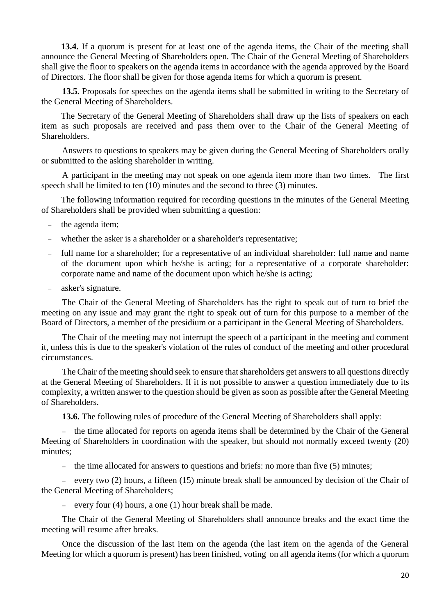**13.4.** If a quorum is present for at least one of the agenda items, the Chair of the meeting shall announce the General Meeting of Shareholders open. The Chair of the General Meeting of Shareholders shall give the floor to speakers on the agenda items in accordance with the agenda approved by the Board of Directors. The floor shall be given for those agenda items for which a quorum is present.

**13.5.** Proposals for speeches on the agenda items shall be submitted in writing to the Secretary of the General Meeting of Shareholders.

The Secretary of the General Meeting of Shareholders shall draw up the lists of speakers on each item as such proposals are received and pass them over to the Chair of the General Meeting of **Shareholders** 

Answers to questions to speakers may be given during the General Meeting of Shareholders orally or submitted to the asking shareholder in writing.

A participant in the meeting may not speak on one agenda item more than two times. The first speech shall be limited to ten (10) minutes and the second to three (3) minutes.

The following information required for recording questions in the minutes of the General Meeting of Shareholders shall be provided when submitting a question:

- the agenda item;
- whether the asker is a shareholder or a shareholder's representative;
- full name for a shareholder; for a representative of an individual shareholder: full name and name of the document upon which he/she is acting; for a representative of a corporate shareholder: corporate name and name of the document upon which he/she is acting;
- asker's signature.

The Chair of the General Meeting of Shareholders has the right to speak out of turn to brief the meeting on any issue and may grant the right to speak out of turn for this purpose to a member of the Board of Directors, a member of the presidium or a participant in the General Meeting of Shareholders.

The Chair of the meeting may not interrupt the speech of a participant in the meeting and comment it, unless this is due to the speaker's violation of the rules of conduct of the meeting and other procedural circumstances.

The Chair of the meeting should seek to ensure that shareholders get answers to all questions directly at the General Meeting of Shareholders. If it is not possible to answer a question immediately due to its complexity, a written answer to the question should be given as soon as possible after the General Meeting of Shareholders.

**13.6.** The following rules of procedure of the General Meeting of Shareholders shall apply:

- the time allocated for reports on agenda items shall be determined by the Chair of the General Meeting of Shareholders in coordination with the speaker, but should not normally exceed twenty (20) minutes;

- the time allocated for answers to questions and briefs: no more than five  $(5)$  minutes;

- every two  $(2)$  hours, a fifteen  $(15)$  minute break shall be announced by decision of the Chair of the General Meeting of Shareholders;

- every four  $(4)$  hours, a one  $(1)$  hour break shall be made.

The Chair of the General Meeting of Shareholders shall announce breaks and the exact time the meeting will resume after breaks.

Once the discussion of the last item on the agenda (the last item on the agenda of the General Meeting for which a quorum is present) has been finished, voting on all agenda items (for which a quorum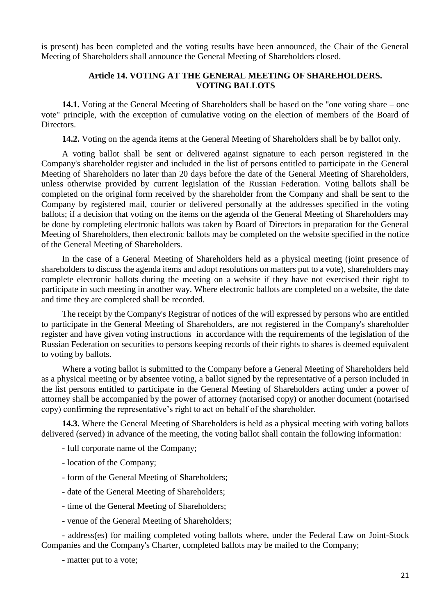is present) has been completed and the voting results have been announced, the Chair of the General Meeting of Shareholders shall announce the General Meeting of Shareholders closed.

# **Article 14. VOTING AT THE GENERAL MEETING OF SHAREHOLDERS. VOTING BALLOTS**

**14.1.** Voting at the General Meeting of Shareholders shall be based on the "one voting share – one vote" principle, with the exception of cumulative voting on the election of members of the Board of Directors.

**14.2.** Voting on the agenda items at the General Meeting of Shareholders shall be by ballot only.

A voting ballot shall be sent or delivered against signature to each person registered in the Company's shareholder register and included in the list of persons entitled to participate in the General Meeting of Shareholders no later than 20 days before the date of the General Meeting of Shareholders, unless otherwise provided by current legislation of the Russian Federation. Voting ballots shall be completed on the original form received by the shareholder from the Company and shall be sent to the Company by registered mail, courier or delivered personally at the addresses specified in the voting ballots; if a decision that voting on the items on the agenda of the General Meeting of Shareholders may be done by completing electronic ballots was taken by Board of Directors in preparation for the General Meeting of Shareholders, then electronic ballots may be completed on the website specified in the notice of the General Meeting of Shareholders.

In the case of a General Meeting of Shareholders held as a physical meeting (joint presence of shareholders to discuss the agenda items and adopt resolutions on matters put to a vote), shareholders may complete electronic ballots during the meeting on a website if they have not exercised their right to participate in such meeting in another way. Where electronic ballots are completed on a website, the date and time they are completed shall be recorded.

The receipt by the Company's Registrar of notices of the will expressed by persons who are entitled to participate in the General Meeting of Shareholders, are not registered in the Company's shareholder register and have given voting instructions in accordance with the requirements of the [legislation](http://garant.rrost.lan/#/document/10106464/entry/890) of the Russian Federation on securities to persons keeping records of their rights to shares is deemed equivalent to voting by ballots.

Where a voting ballot is submitted to the Company before a General Meeting of Shareholders held as a physical meeting or by absentee voting, a ballot signed by the representative of a person included in the list persons entitled to participate in the General Meeting of Shareholders acting under a power of attorney shall be accompanied by the power of attorney (notarised copy) or another document (notarised copy) confirming the representative's right to act on behalf of the shareholder.

**14.3.** Where the General Meeting of Shareholders is held as a physical meeting with voting ballots delivered (served) in advance of the meeting, the voting ballot shall contain the following information:

- full corporate name of the Company;
- location of the Company;
- form of the General Meeting of Shareholders;
- date of the General Meeting of Shareholders;
- time of the General Meeting of Shareholders;
- venue of the General Meeting of Shareholders;

- address(es) for mailing completed voting ballots where, under the Federal Law on Joint-Stock Companies and the Company's Charter, completed ballots may be mailed to the Company;

- matter put to a vote;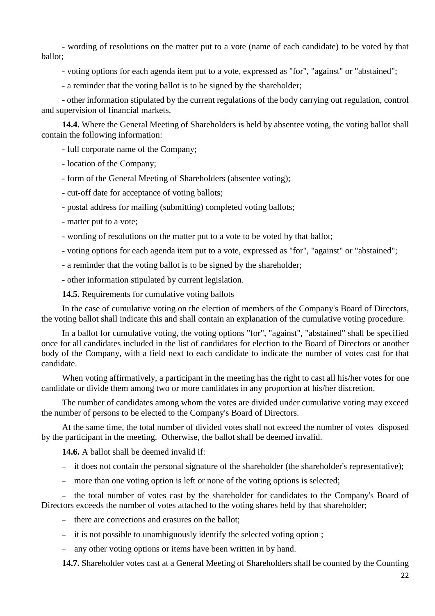- wording of resolutions on the matter put to a vote (name of each candidate) to be voted by that ballot;

- voting options for each agenda item put to a vote, expressed as "for", "against" or "abstained";

- a reminder that the voting ballot is to be signed by the shareholder;

- other information stipulated by the current regulations of the body carrying out regulation, control and supervision of financial markets.

**14.4.** Where the General Meeting of Shareholders is held by absentee voting, the voting ballot shall contain the following information:

- full corporate name of the Company;

- location of the Company;

- form of the General Meeting of Shareholders (absentee voting);

- cut-off date for acceptance of voting ballots;

- postal address for mailing (submitting) completed voting ballots;

- matter put to a vote;

- wording of resolutions on the matter put to a vote to be voted by that ballot;
- voting options for each agenda item put to a vote, expressed as "for", "against" or "abstained";
- a reminder that the voting ballot is to be signed by the shareholder;

- other information stipulated by current legislation.

**14.5.** Requirements for cumulative voting ballots

In the case of cumulative voting on the election of members of the Company's Board of Directors, the voting ballot shall indicate this and shall contain an explanation of the cumulative voting procedure.

In a ballot for cumulative voting, the voting options "for", "against", "abstained" shall be specified once for all candidates included in the list of candidates for election to the Board of Directors or another body of the Company, with a field next to each candidate to indicate the number of votes cast for that candidate.

When voting affirmatively, a participant in the meeting has the right to cast all his/her votes for one candidate or divide them among two or more candidates in any proportion at his/her discretion.

The number of candidates among whom the votes are divided under cumulative voting may exceed the number of persons to be elected to the Company's Board of Directors.

At the same time, the total number of divided votes shall not exceed the number of votes disposed by the participant in the meeting. Otherwise, the ballot shall be deemed invalid.

**14.6.** A ballot shall be deemed invalid if:

- it does not contain the personal signature of the shareholder (the shareholder's representative);
- more than one voting option is left or none of the voting options is selected;

- the total number of votes cast by the shareholder for candidates to the Company's Board of Directors exceeds the number of votes attached to the voting shares held by that shareholder;

- there are corrections and erasures on the ballot;

- it is not possible to unambiguously identify the selected voting option :
- any other voting options or items have been written in by hand.

**14.7.** Shareholder votes cast at a General Meeting of Shareholders shall be counted by the Counting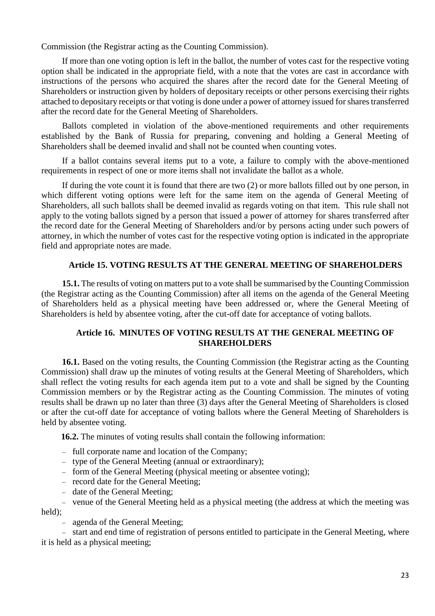Commission (the Registrar acting as the Counting Commission).

If more than one voting option is left in the ballot, the number of votes cast for the respective voting option shall be indicated in the appropriate field, with a note that the votes are cast in accordance with instructions of the persons who acquired the shares after the record date for the General Meeting of Shareholders or instruction given by holders of depositary receipts or other persons exercising their rights attached to depositary receipts or that voting is done under a power of attorney issued forshares transferred after the record date for the General Meeting of Shareholders.

Ballots completed in violation of the above-mentioned requirements and other requirements established by the Bank of Russia for preparing, convening and holding a General Meeting of Shareholders shall be deemed invalid and shall not be counted when counting votes.

If a ballot contains several items put to a vote, a failure to comply with the above-mentioned requirements in respect of one or more items shall not invalidate the ballot as a whole.

If during the vote count it is found that there are two (2) or more ballots filled out by one person, in which different voting options were left for the same item on the agenda of General Meeting of Shareholders, all such ballots shall be deemed invalid as regards voting on that item. This rule shall not apply to the voting ballots signed by a person that issued a power of attorney for shares transferred after the record date for the General Meeting of Shareholders and/or by persons acting under such powers of attorney, in which the number of votes cast for the respective voting option is indicated in the appropriate field and appropriate notes are made.

## **Article 15. VOTING RESULTS AT THE GENERAL MEETING OF SHAREHOLDERS**

**15.1.** The results of voting on matters put to a vote shall be summarised by the Counting Commission (the Registrar acting as the Counting Commission) after all items on the agenda of the General Meeting of Shareholders held as a physical meeting have been addressed or, where the General Meeting of Shareholders is held by absentee voting, after the cut-off date for acceptance of voting ballots.

# **Article 16. MINUTES OF VOTING RESULTS AT THE GENERAL MEETING OF SHAREHOLDERS**

**16.1.** Based on the voting results, the Counting Commission (the Registrar acting as the Counting Commission) shall draw up the minutes of voting results at the General Meeting of Shareholders, which shall reflect the voting results for each agenda item put to a vote and shall be signed by the Counting Commission members or by the Registrar acting as the Counting Commission. The minutes of voting results shall be drawn up no later than three (3) days after the General Meeting of Shareholders is closed or after the cut-off date for acceptance of voting ballots where the General Meeting of Shareholders is held by absentee voting.

**16.2.** The minutes of voting results shall contain the following information:

- full corporate name and location of the Company;
- type of the General Meeting (annual or extraordinary);
- form of the General Meeting (physical meeting or absentee voting);
- record date for the General Meeting;
- date of the General Meeting;

 venue of the General Meeting held as a physical meeting (the address at which the meeting was held);

- agenda of the General Meeting;

- start and end time of registration of persons entitled to participate in the General Meeting, where it is held as a physical meeting;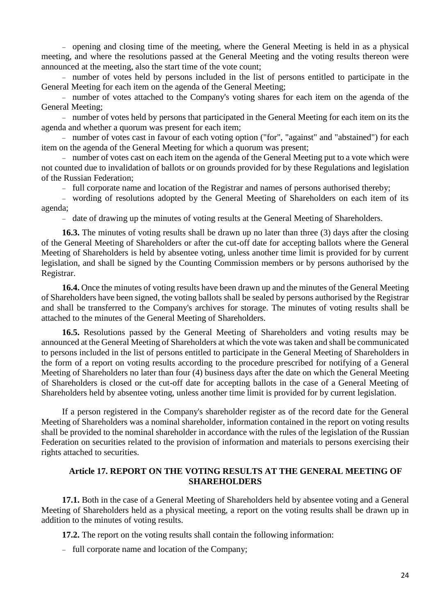opening and closing time of the meeting, where the General Meeting is held in as a physical meeting, and where the resolutions passed at the General Meeting and the voting results thereon were announced at the meeting, also the start time of the vote count;

 number of votes held by persons included in the list of persons entitled to participate in the General Meeting for each item on the agenda of the General Meeting;

- number of votes attached to the Company's voting shares for each item on the agenda of the General Meeting;

 number of votes held by persons that participated in the General Meeting for each item on its the agenda and whether a quorum was present for each item;

 number of votes cast in favour of each voting option ("for", "against" and "abstained") for each item on the agenda of the General Meeting for which a quorum was present;

- number of votes cast on each item on the agenda of the General Meeting put to a vote which were not counted due to invalidation of ballots or on grounds provided for by these Regulations and legislation of the Russian Federation;

- full corporate name and location of the Registrar and names of persons authorised thereby;

 wording of resolutions adopted by the General Meeting of Shareholders on each item of its agenda;

- date of drawing up the minutes of voting results at the General Meeting of Shareholders.

**16.3.** The minutes of voting results shall be drawn up no later than three (3) days after the closing of the General Meeting of Shareholders or after the cut-off date for accepting ballots where the General Meeting of Shareholders is held by absentee voting, unless another time limit is provided for by current legislation, and shall be signed by the Counting Commission members or by persons authorised by the Registrar.

**16.4.** Once the minutes of voting results have been drawn up and the minutes of the General Meeting of Shareholders have been signed, the voting ballots shall be sealed by persons authorised by the Registrar and shall be transferred to the Company's archives for storage. The minutes of voting results shall be attached to the minutes of the General Meeting of Shareholders.

**16.5.** Resolutions passed by the General Meeting of Shareholders and voting results may be announced at the General Meeting of Shareholders at which the vote was taken and shall be communicated to persons included in the list of persons entitled to participate in the General Meeting of Shareholders in the form of a report on voting results according to the procedure prescribed for notifying of a General Meeting of Shareholders no later than four (4) business days after the date on which the General Meeting of Shareholders is closed or the cut-off date for accepting ballots in the case of a General Meeting of Shareholders held by absentee voting, unless another time limit is provided for by current legislation.

If a person registered in the Company's shareholder register as of the record date for the General Meeting of Shareholders was a nominal shareholder, information contained in the report on voting results shall be provided to the nominal shareholder in accordance with the rules of the [legislation](http://garant.rrost.lan/#/document/10106464/entry/0) of the Russian Federation on securities related to the provision of information and materials to persons exercising their rights attached to securities.

# **Article 17. REPORT ON THE VOTING RESULTS AT THE GENERAL MEETING OF SHAREHOLDERS**

**17.1.** Both in the case of a General Meeting of Shareholders held by absentee voting and a General Meeting of Shareholders held as a physical meeting, a report on the voting results shall be drawn up in addition to the minutes of voting results.

**17.2.** The report on the voting results shall contain the following information:

- full corporate name and location of the Company;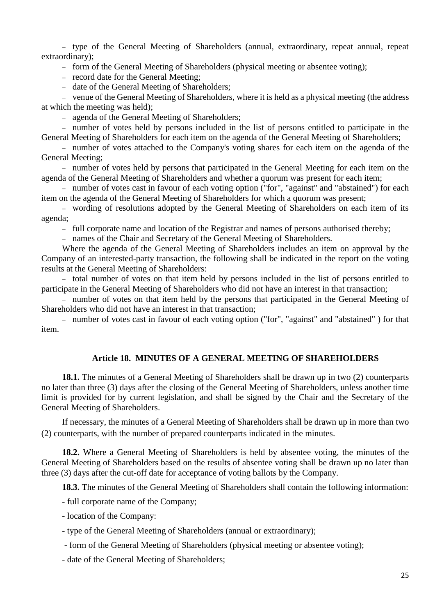type of the General Meeting of Shareholders (annual, extraordinary, repeat annual, repeat extraordinary);

- form of the General Meeting of Shareholders (physical meeting or absentee voting);

- record date for the General Meeting:

- date of the General Meeting of Shareholders;

 venue of the General Meeting of Shareholders, where it is held as a physical meeting (the address at which the meeting was held);

agenda of the General Meeting of Shareholders;

 number of votes held by persons included in the list of persons entitled to participate in the General Meeting of Shareholders for each item on the agenda of the General Meeting of Shareholders;

- number of votes attached to the Company's voting shares for each item on the agenda of the General Meeting;

 number of votes held by persons that participated in the General Meeting for each item on the agenda of the General Meeting of Shareholders and whether a quorum was present for each item;

- number of votes cast in favour of each voting option ("for", "against" and "abstained") for each item on the agenda of the General Meeting of Shareholders for which a quorum was present;

 wording of resolutions adopted by the General Meeting of Shareholders on each item of its agenda;

- full corporate name and location of the Registrar and names of persons authorised thereby;

names of the Chair and Secretary of the General Meeting of Shareholders.

Where the agenda of the General Meeting of Shareholders includes an item on approval by the Company of an interested-party transaction, the following shall be indicated in the report on the voting results at the General Meeting of Shareholders:

- total number of votes on that item held by persons included in the list of persons entitled to participate in the General Meeting of Shareholders who did not have an interest in that transaction;

- number of votes on that item held by the persons that participated in the General Meeting of Shareholders who did not have an interest in that transaction;

- number of votes cast in favour of each voting option ("for", "against" and "abstained") for that item.

# **Article 18. MINUTES OF A GENERAL MEETING OF SHAREHOLDERS**

**18.1.** The minutes of a General Meeting of Shareholders shall be drawn up in two (2) counterparts no later than three (3) days after the closing of the General Meeting of Shareholders, unless another time limit is provided for by current legislation, and shall be signed by the Chair and the Secretary of the General Meeting of Shareholders.

If necessary, the minutes of a General Meeting of Shareholders shall be drawn up in more than two (2) counterparts, with the number of prepared counterparts indicated in the minutes.

**18.2.** Where a General Meeting of Shareholders is held by absentee voting, the minutes of the General Meeting of Shareholders based on the results of absentee voting shall be drawn up no later than three (3) days after the cut-off date for acceptance of voting ballots by the Company.

**18.3.** The minutes of the General Meeting of Shareholders shall contain the following information:

- full corporate name of the Company;

- location of the Company:

- type of the General Meeting of Shareholders (annual or extraordinary);

- form of the General Meeting of Shareholders (physical meeting or absentee voting);

- date of the General Meeting of Shareholders;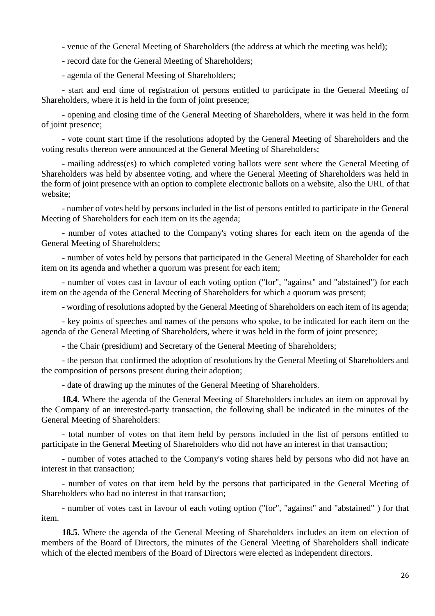- venue of the General Meeting of Shareholders (the address at which the meeting was held);

- record date for the General Meeting of Shareholders;

- agenda of the General Meeting of Shareholders;

- start and end time of registration of persons entitled to participate in the General Meeting of Shareholders, where it is held in the form of joint presence;

- opening and closing time of the General Meeting of Shareholders, where it was held in the form of joint presence;

- vote count start time if the resolutions adopted by the General Meeting of Shareholders and the voting results thereon were announced at the General Meeting of Shareholders;

- mailing address(es) to which completed voting ballots were sent where the General Meeting of Shareholders was held by absentee voting, and where the General Meeting of Shareholders was held in the form of joint presence with an option to complete electronic ballots on a website, also the URL of that website;

- number of votes held by persons included in the list of persons entitled to participate in the General Meeting of Shareholders for each item on its the agenda;

- number of votes attached to the Company's voting shares for each item on the agenda of the General Meeting of Shareholders;

- number of votes held by persons that participated in the General Meeting of Shareholder for each item on its agenda and whether a quorum was present for each item;

- number of votes cast in favour of each voting option ("for", "against" and "abstained") for each item on the agenda of the General Meeting of Shareholders for which a quorum was present;

- wording of resolutions adopted by the General Meeting of Shareholders on each item of its agenda;

- key points of speeches and names of the persons who spoke, to be indicated for each item on the agenda of the General Meeting of Shareholders, where it was held in the form of joint presence;

- the Chair (presidium) and Secretary of the General Meeting of Shareholders;

- the person that confirmed the adoption of resolutions by the General Meeting of Shareholders and the composition of persons present during their adoption;

- date of drawing up the minutes of the General Meeting of Shareholders.

**18.4.** Where the agenda of the General Meeting of Shareholders includes an item on approval by the Company of an interested-party transaction, the following shall be indicated in the minutes of the General Meeting of Shareholders:

- total number of votes on that item held by persons included in the list of persons entitled to participate in the General Meeting of Shareholders who did not have an interest in that transaction;

- number of votes attached to the Company's voting shares held by persons who did not have an interest in that transaction;

- number of votes on that item held by the persons that participated in the General Meeting of Shareholders who had no interest in that transaction;

- number of votes cast in favour of each voting option ("for", "against" and "abstained" ) for that item.

**18.5.** Where the agenda of the General Meeting of Shareholders includes an item on election of members of the Board of Directors, the minutes of the General Meeting of Shareholders shall indicate which of the elected members of the Board of Directors were elected as independent directors.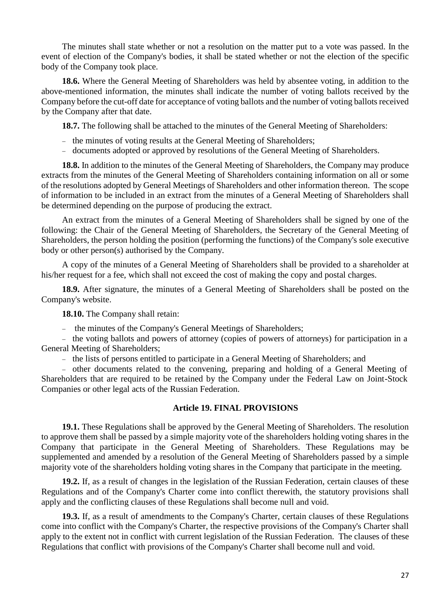The minutes shall state whether or not a resolution on the matter put to a vote was passed. In the event of election of the Company's bodies, it shall be stated whether or not the election of the specific body of the Company took place.

**18.6.** Where the General Meeting of Shareholders was held by absentee voting, in addition to the above-mentioned information, the minutes shall indicate the number of voting ballots received by the Company before the cut-off date for acceptance of voting ballots and the number of voting ballots received by the Company after that date.

**18.7.** The following shall be attached to the minutes of the General Meeting of Shareholders:

- the minutes of voting results at the General Meeting of Shareholders;
- documents adopted or approved by resolutions of the General Meeting of Shareholders.

**18.8.** In addition to the minutes of the General Meeting of Shareholders, the Company may produce extracts from the minutes of the General Meeting of Shareholders containing information on all or some of the resolutions adopted by General Meetings of Shareholders and other information thereon. The scope of information to be included in an extract from the minutes of a General Meeting of Shareholders shall be determined depending on the purpose of producing the extract.

An extract from the minutes of a General Meeting of Shareholders shall be signed by one of the following: the Chair of the General Meeting of Shareholders, the Secretary of the General Meeting of Shareholders, the person holding the position (performing the functions) of the Company's sole executive body or other person(s) authorised by the Company.

A copy of the minutes of a General Meeting of Shareholders shall be provided to a shareholder at his/her request for a fee, which shall not exceed the cost of making the copy and postal charges.

**18.9.** After signature, the minutes of a General Meeting of Shareholders shall be posted on the Company's website.

**18.10.** The Company shall retain:

the minutes of the Company's General Meetings of Shareholders;

- the voting ballots and powers of attorney (copies of powers of attorneys) for participation in a General Meeting of Shareholders;

- the lists of persons entitled to participate in a General Meeting of Shareholders; and

 other documents related to the convening, preparing and holding of a General Meeting of Shareholders that are required to be retained by the Company under the Federal Law on Joint-Stock Companies or other legal acts of the Russian Federation.

#### **Article 19. FINAL PROVISIONS**

**19.1.** These Regulations shall be approved by the General Meeting of Shareholders. The resolution to approve them shall be passed by a simple majority vote of the shareholders holding voting shares in the Company that participate in the General Meeting of Shareholders. These Regulations may be supplemented and amended by a resolution of the General Meeting of Shareholders passed by a simple majority vote of the shareholders holding voting shares in the Company that participate in the meeting.

**19.2.** If, as a result of changes in the legislation of the Russian Federation, certain clauses of these Regulations and of the Company's Charter come into conflict therewith, the statutory provisions shall apply and the conflicting clauses of these Regulations shall become null and void.

**19.3.** If, as a result of amendments to the Company's Charter, certain clauses of these Regulations come into conflict with the Company's Charter, the respective provisions of the Company's Charter shall apply to the extent not in conflict with current legislation of the Russian Federation. The clauses of these Regulations that conflict with provisions of the Company's Charter shall become null and void.